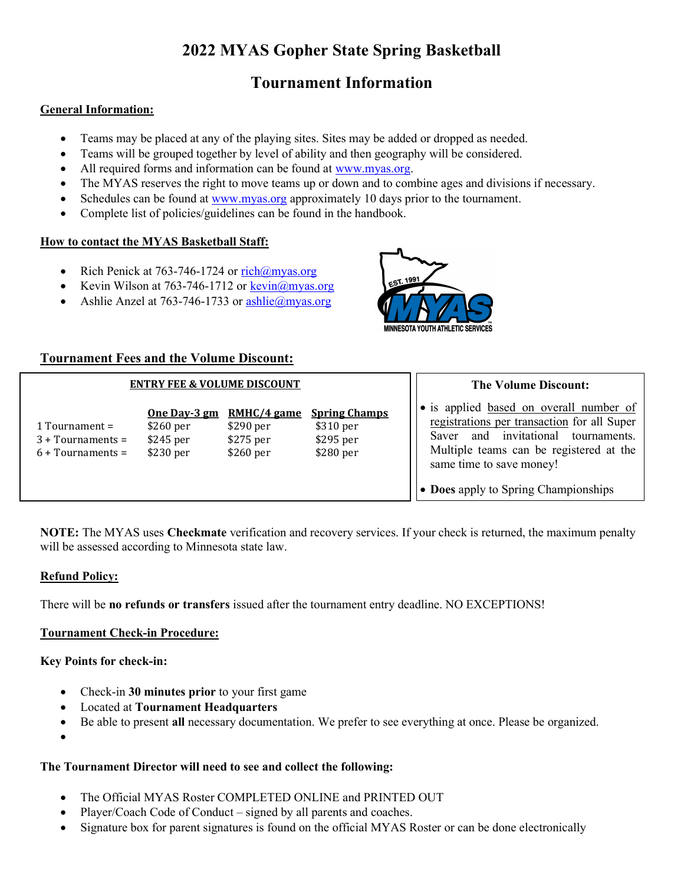# 2022 MYAS Gopher State Spring Basketball

## Tournament Information

#### General Information:

- Teams may be placed at any of the playing sites. Sites may be added or dropped as needed.
- Teams will be grouped together by level of ability and then geography will be considered.
- All required forms and information can be found at www.myas.org.
- The MYAS reserves the right to move teams up or down and to combine ages and divisions if necessary.
- Schedules can be found at www.myas.org approximately 10 days prior to the tournament.
- Complete list of policies/guidelines can be found in the handbook.

#### How to contact the MYAS Basketball Staff:

- Rich Penick at 763-746-1724 or  $rich@mvas.org$
- Exercise Kevin Wilson at  $763-746-1712$  or kevin $@$ myas.org
- Ashlie Anzel at 763-746-1733 or ashlie@myas.org



The Volume Discount:

### Tournament Fees and the Volume Discount:

#### ENTRY FEE & VOLUME DISCOUNT

| 1 Tournament $=$<br>$3 + Tournames =$<br>$6 + Tournames =$ | One Day-3 gm<br>$$260$ per<br>$$245$ per<br>\$230~per | RMHC/4 game<br>\$290 per<br>\$275 per<br>$$260$ per | <b>Spring Champs</b><br>$$310\,\mathrm{per}$<br>$$295$ per<br>\$280 per | $\bullet$ is applied based on overall number of<br>registrations per transaction for all Super<br>and invitational<br>tournaments.<br>Saver<br>Multiple teams can be registered at the<br>same time to save money!<br>• Does apply to Spring Championships |
|------------------------------------------------------------|-------------------------------------------------------|-----------------------------------------------------|-------------------------------------------------------------------------|------------------------------------------------------------------------------------------------------------------------------------------------------------------------------------------------------------------------------------------------------------|
|------------------------------------------------------------|-------------------------------------------------------|-----------------------------------------------------|-------------------------------------------------------------------------|------------------------------------------------------------------------------------------------------------------------------------------------------------------------------------------------------------------------------------------------------------|

NOTE: The MYAS uses Checkmate verification and recovery services. If your check is returned, the maximum penalty will be assessed according to Minnesota state law.

### Refund Policy:

There will be no refunds or transfers issued after the tournament entry deadline. NO EXCEPTIONS!

### Tournament Check-in Procedure:

#### Key Points for check-in:

- Check-in 30 minutes prior to your first game
- Located at Tournament Headquarters
- Be able to present all necessary documentation. We prefer to see everything at once. Please be organized.
- $\bullet$

### The Tournament Director will need to see and collect the following:

- The Official MYAS Roster COMPLETED ONLINE and PRINTED OUT
- Player/Coach Code of Conduct signed by all parents and coaches.
- Signature box for parent signatures is found on the official MYAS Roster or can be done electronically